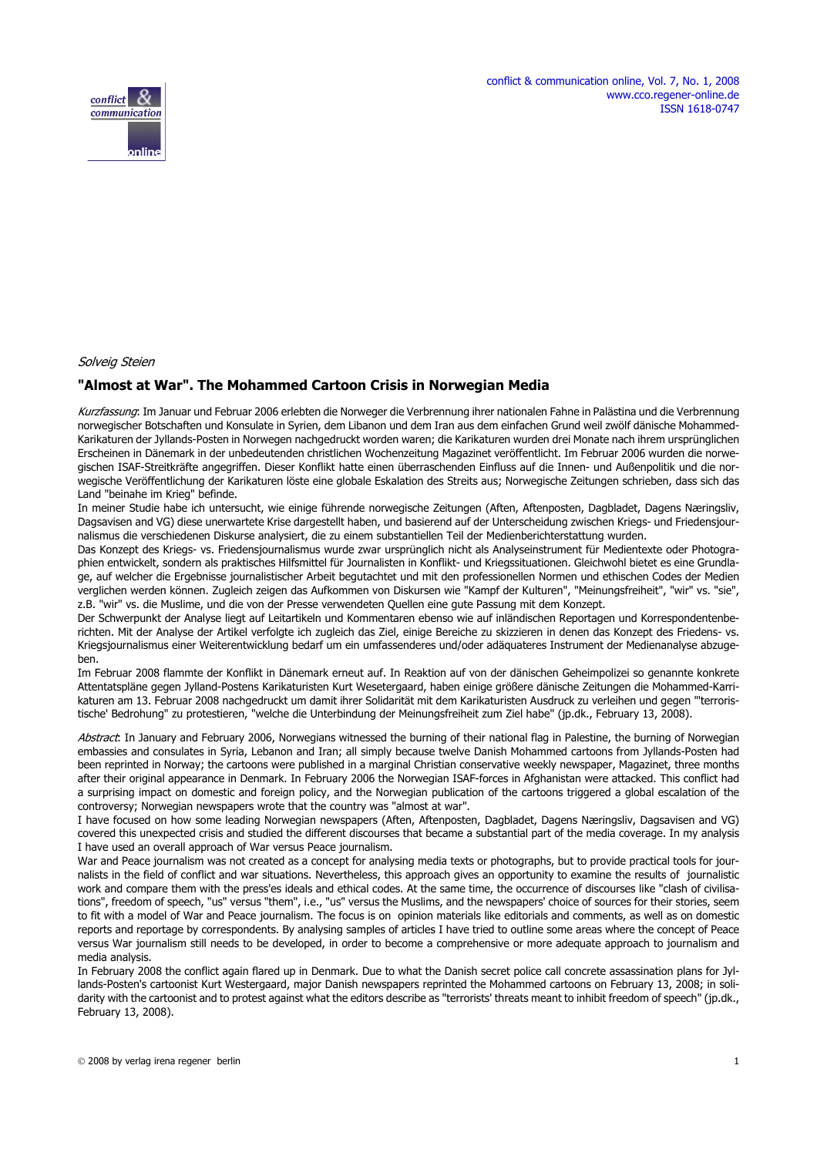

Solveig Steien

#### **"Almost at War". The Mohammed Cartoon Crisis in Norwegian Media**

Kurzfassung: Im Januar und Februar 2006 erlebten die Norweger die Verbrennung ihrer nationalen Fahne in Palästina und die Verbrennung norwegischer Botschaften und Konsulate in Syrien, dem Libanon und dem Iran aus dem einfachen Grund weil zwölf dänische Mohammed-Karikaturen der Jyllands-Posten in Norwegen nachgedruckt worden waren; die Karikaturen wurden drei Monate nach ihrem ursprünglichen Erscheinen in Dänemark in der unbedeutenden christlichen Wochenzeitung Magazinet veröffentlicht. Im Februar 2006 wurden die norwegischen ISAF-Streitkräfte angegriffen. Dieser Konflikt hatte einen überraschenden Einfluss auf die Innen- und Außenpolitik und die norwegische Veröffentlichung der Karikaturen löste eine globale Eskalation des Streits aus; Norwegische Zeitungen schrieben, dass sich das Land "beinahe im Krieg" befinde.

In meiner Studie habe ich untersucht, wie einige führende norwegische Zeitungen (Aften, Aftenposten, Dagbladet, Dagens Næringsliv, Dagsavisen and VG) diese unerwartete Krise dargestellt haben, und basierend auf der Unterscheidung zwischen Kriegs- und Friedensjournalismus die verschiedenen Diskurse analysiert, die zu einem substantiellen Teil der Medienberichterstattung wurden.

Das Konzept des Kriegs- vs. Friedensjournalismus wurde zwar ursprünglich nicht als Analyseinstrument für Medientexte oder Photographien entwickelt, sondern als praktisches Hilfsmittel für Journalisten in Konflikt- und Kriegssituationen. Gleichwohl bietet es eine Grundlage, auf welcher die Ergebnisse journalistischer Arbeit begutachtet und mit den professionellen Normen und ethischen Codes der Medien verglichen werden können. Zugleich zeigen das Aufkommen von Diskursen wie "Kampf der Kulturen", "Meinungsfreiheit", "wir" vs. "sie", z.B. "wir" vs. die Muslime, und die von der Presse verwendeten Quellen eine gute Passung mit dem Konzept.

Der Schwerpunkt der Analyse liegt auf Leitartikeln und Kommentaren ebenso wie auf inländischen Reportagen und Korrespondentenberichten. Mit der Analyse der Artikel verfolgte ich zugleich das Ziel, einige Bereiche zu skizzieren in denen das Konzept des Friedens- vs. Kriegsjournalismus einer Weiterentwicklung bedarf um ein umfassenderes und/oder adäquateres Instrument der Medienanalyse abzugeben.

Im Februar 2008 flammte der Konflikt in Dänemark erneut auf. In Reaktion auf von der dänischen Geheimpolizei so genannte konkrete Attentatspläne gegen Jylland-Postens Karikaturisten Kurt Wesetergaard, haben einige größere dänische Zeitungen die Mohammed-Karrikaturen am 13. Februar 2008 nachgedruckt um damit ihrer Solidarität mit dem Karikaturisten Ausdruck zu verleihen und gegen "'terroristische' Bedrohung" zu protestieren, "welche die Unterbindung der Meinungsfreiheit zum Ziel habe" (jp.dk., February 13, 2008).

Abstract: In January and February 2006, Norwegians witnessed the burning of their national flag in Palestine, the burning of Norwegian embassies and consulates in Syria, Lebanon and Iran; all simply because twelve Danish Mohammed cartoons from Jyllands-Posten had been reprinted in Norway; the cartoons were published in a marginal Christian conservative weekly newspaper, Magazinet, three months after their original appearance in Denmark. In February 2006 the Norwegian ISAF-forces in Afghanistan were attacked. This conflict had a surprising impact on domestic and foreign policy, and the Norwegian publication of the cartoons triggered a global escalation of the controversy; Norwegian newspapers wrote that the country was "almost at war".

I have focused on how some leading Norwegian newspapers (Aften, Aftenposten, Dagbladet, Dagens Næringsliv, Dagsavisen and VG) covered this unexpected crisis and studied the different discourses that became a substantial part of the media coverage. In my analysis I have used an overall approach of War versus Peace journalism.

War and Peace journalism was not created as a concept for analysing media texts or photographs, but to provide practical tools for journalists in the field of conflict and war situations. Nevertheless, this approach gives an opportunity to examine the results of journalistic work and compare them with the press'es ideals and ethical codes. At the same time, the occurrence of discourses like "clash of civilisations", freedom of speech, "us" versus "them", i.e., "us" versus the Muslims, and the newspapers' choice of sources for their stories, seem to fit with a model of War and Peace journalism. The focus is on opinion materials like editorials and comments, as well as on domestic reports and reportage by correspondents. By analysing samples of articles I have tried to outline some areas where the concept of Peace versus War journalism still needs to be developed, in order to become a comprehensive or more adequate approach to journalism and media analysis.

In February 2008 the conflict again flared up in Denmark. Due to what the Danish secret police call concrete assassination plans for Jyllands-Posten's cartoonist Kurt Westergaard, major Danish newspapers reprinted the Mohammed cartoons on February 13, 2008; in solidarity with the cartoonist and to protest against what the editors describe as "terrorists' threats meant to inhibit freedom of speech" (jp.dk., February 13, 2008).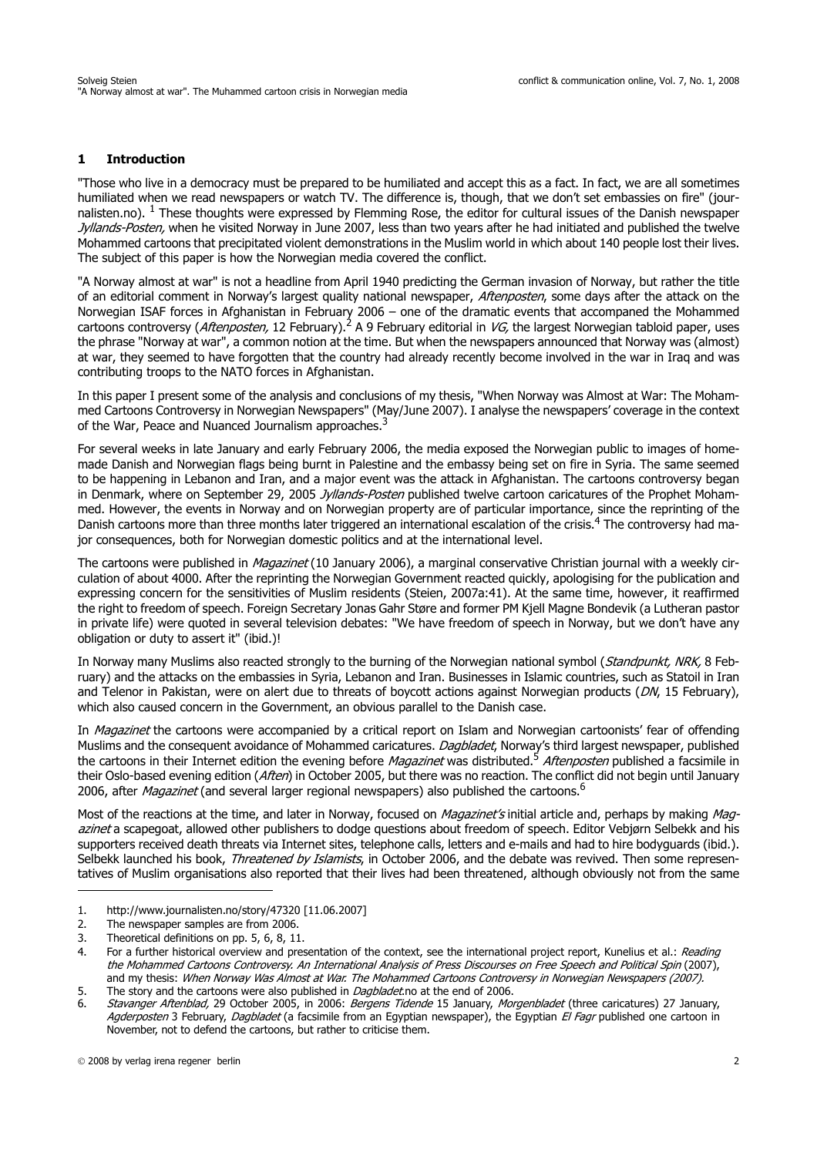### **1 Introduction**

"Those who live in a democracy must be prepared to be humiliated and accept this as a fact. In fact, we are all sometimes humiliated when we read newspapers or watch TV. The difference is, though, that we don't set embassies on fire" (journalisten.no).  $1$  These thoughts were expressed by Flemming Rose, the editor for cultural issues of the Danish newspaper Jyllands-Posten, when he visited Norway in June 2007, less than two years after he had initiated and published the twelve Mohammed cartoons that precipitated violent demonstrations in the Muslim world in which about 140 people lost their lives. The subject of this paper is how the Norwegian media covered the conflict.

"A Norway almost at war" is not a headline from April 1940 predicting the German invasion of Norway, but rather the title of an editorial comment in Norway's largest quality national newspaper, Aftenposten, some days after the attack on the Norwegian ISAF forces in Afghanistan in February 2006 – one of the dramatic events that accompaned the Mohammed cartoons controversy (Aftenposten, 12 February).2 A 9 February editorial in VG, the largest Norwegian tabloid paper, uses the phrase "Norway at war", a common notion at the time. But when the newspapers announced that Norway was (almost) at war, they seemed to have forgotten that the country had already recently become involved in the war in Iraq and was contributing troops to the NATO forces in Afghanistan.

In this paper I present some of the analysis and conclusions of my thesis, "When Norway was Almost at War: The Mohammed Cartoons Controversy in Norwegian Newspapers" (May/June 2007). I analyse the newspapers' coverage in the context of the War, Peace and Nuanced Journalism approaches.<sup>3</sup>

For several weeks in late January and early February 2006, the media exposed the Norwegian public to images of homemade Danish and Norwegian flags being burnt in Palestine and the embassy being set on fire in Syria. The same seemed to be happening in Lebanon and Iran, and a major event was the attack in Afghanistan. The cartoons controversy began in Denmark, where on September 29, 2005 Jyllands-Posten published twelve cartoon caricatures of the Prophet Mohammed. However, the events in Norway and on Norwegian property are of particular importance, since the reprinting of the Danish cartoons more than three months later triggered an international escalation of the crisis.4 The controversy had major consequences, both for Norwegian domestic politics and at the international level.

The cartoons were published in *Magazinet* (10 January 2006), a marginal conservative Christian journal with a weekly circulation of about 4000. After the reprinting the Norwegian Government reacted quickly, apologising for the publication and expressing concern for the sensitivities of Muslim residents (Steien, 2007a:41). At the same time, however, it reaffirmed the right to freedom of speech. Foreign Secretary Jonas Gahr Støre and former PM Kjell Magne Bondevik (a Lutheran pastor in private life) were quoted in several television debates: "We have freedom of speech in Norway, but we don't have any obligation or duty to assert it" (ibid.)!

In Norway many Muslims also reacted strongly to the burning of the Norwegian national symbol (Standpunkt, NRK, 8 February) and the attacks on the embassies in Syria, Lebanon and Iran. Businesses in Islamic countries, such as Statoil in Iran and Telenor in Pakistan, were on alert due to threats of boycott actions against Norwegian products (DN, 15 February), which also caused concern in the Government, an obvious parallel to the Danish case.

In Magazinet the cartoons were accompanied by a critical report on Islam and Norwegian cartoonists' fear of offending Muslims and the consequent avoidance of Mohammed caricatures. Dagbladet, Norway's third largest newspaper, published the cartoons in their Internet edition the evening before *Magazinet* was distributed.<sup>5</sup> Aftenposten published a facsimile in their Oslo-based evening edition (Aften) in October 2005, but there was no reaction. The conflict did not begin until January 2006, after *Magazinet* (and several larger regional newspapers) also published the cartoons.<sup>6</sup>

[Most of the reactions at the time, and later in Norway, focused on](http://www.ssb.no/emner/07/02/10/trosamf/tab-2006-12-18-01.html) *Magazinet's* [initial article and, perhaps by making](http://www.crnetwork.ca/programs/PeaceJournalism.htm(Media) Magazinet [a scapegoat, allowed other publishers to dodge questions about freedom of speech. Editor Vebjørn Selbekk and his](http://www.journalisten.no/story/47320) [supporters received death threats via Internet sites, telephone calls, letters and e-mails and had to hire bodyguards \(ibid.\).](http://www.journalisten.no/story/47320) [Selbekk launched his book,](http://www.journalisten.no/story/47320) Threatened by Islamists, in October 2006, and the debate was revived. Then some representatives of Muslim organisations also reported that their lives had been threatened, although obviously not from the same

<sup>1.</sup><http://www.journalisten.no/story/47320>[11.06.2007]

<sup>2.</sup> The newspaper samples are from 2006.

<sup>3.</sup> Theoretical definitions on pp. 5, 6, 8, 11.

<sup>4.</sup> For a further historical overview and presentation of the context, see the international project report, Kunelius et al.: Reading the Mohammed Cartoons Controversy. An International Analysis of Press Discourses on Free Speech and Political Spin (2007), and my thesis: When Norway Was Almost at War. The Mohammed Cartoons Controversy in Norwegian Newspapers (2007). 5. The story and the cartoons were also published in *Dagbladet* no at the end of 2006.

<sup>6.</sup> Stavanger Aftenblad, 29 October 2005, in 2006: Bergens Tidende 15 January, Morgenbladet (three caricatures) 27 January, Agderposten 3 February, Dagbladet (a facsimile from an Egyptian newspaper), the Egyptian El Fagr published one cartoon in [November, not to defend the cartoons, but rather to criticise them.](http://www.journalisten.no/story/47320)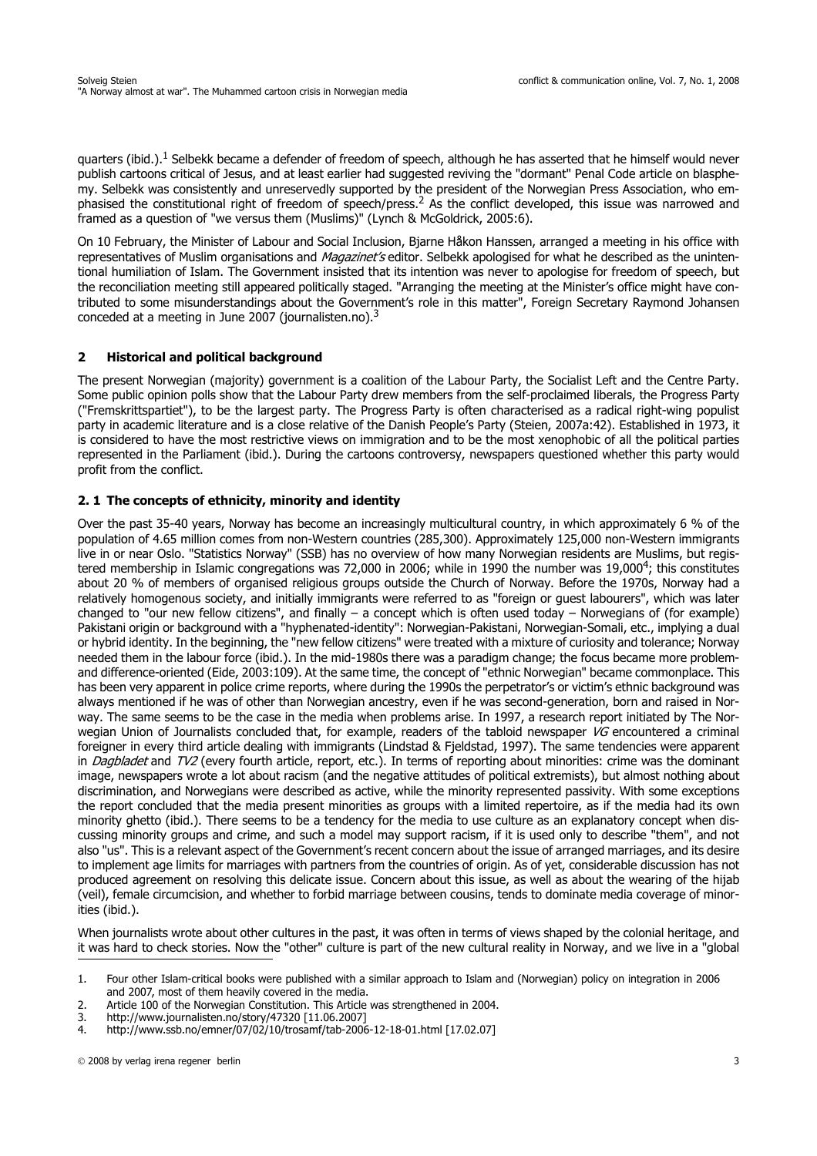quarters (ibid.).<sup>1</sup> Selbekk became a defender of freedom of speech, although he has asserted that he himself would never publish cartoons critical of Jesus, and at least earlier had suggested reviving the "dormant" Penal Code article on blasphemy. Selbekk was consistently and unreservedly supported by the president of the Norwegian Press Association, who emphasised the constitutional right of freedom of speech/press.<sup>2</sup> As the conflict developed, this issue was narrowed and framed as a question of "we versus them (Muslims)" (Lynch & McGoldrick, 2005:6).

On 10 February, the Minister of Labour and Social Inclusion, Bjarne Håkon Hanssen, arranged a meeting in his office with representatives of Muslim organisations and *Magazinet's* editor. Selbekk apologised for what he described as the unintentional humiliation of Islam. The Government insisted that its intention was never to apologise for freedom of speech, but the reconciliation meeting still appeared politically staged. "Arranging the meeting at the Minister's office might have contributed to some misunderstandings about the Government's role in this matter", Foreign Secretary Raymond Johansen conceded at a meeting in June 2007 (journalisten.no).<sup>3</sup>

## **2 Historical and political background**

The present Norwegian (majority) government is a coalition of the Labour Party, the Socialist Left and the Centre Party. Some public opinion polls show that the Labour Party drew members from the self-proclaimed liberals, the Progress Party ("Fremskrittspartiet"), to be the largest party. The Progress Party is often characterised as a radical right-wing populist party in academic literature and is a close relative of the Danish People's Party (Steien, 2007a:42). Established in 1973, it is considered to have the most restrictive views on immigration and to be the most xenophobic of all the political parties represented in the Parliament (ibid.). During the cartoons controversy, newspapers questioned whether this party would profit from the conflict.

## **2. 1 The concepts of ethnicity, minority and identity**

Over the past 35-40 years, Norway has become an increasingly multicultural country, in which approximately 6 % of the population of 4.65 million comes from non-Western countries (285,300). Approximately 125,000 non-Western immigrants live in or near Oslo. "Statistics Norway" (SSB) has no overview of how many Norwegian residents are Muslims, but registered membership in Islamic congregations was 72,000 in 2006; while in 1990 the number was 19,000<sup>4</sup>; this constitutes about 20 % of members of organised religious groups outside the Church of Norway. Before the 1970s, Norway had a relatively homogenous society, and initially immigrants were referred to as "foreign or guest labourers", which was later changed to "our new fellow citizens", and finally – a concept which is often used today – Norwegians of (for example) Pakistani origin or background with a "hyphenated-identity": Norwegian-Pakistani, Norwegian-Somali, etc., implying a dual or hybrid identity. In the beginning, the "new fellow citizens" were treated with a mixture of curiosity and tolerance; Norway needed them in the labour force (ibid.). In the mid-1980s there was a paradigm change; the focus became more problemand difference-oriented (Eide, 2003:109). At the same time, the concept of "ethnic Norwegian" became commonplace. This has been very apparent in police crime reports, where during the 1990s the perpetrator's or victim's ethnic background was always mentioned if he was of other than Norwegian ancestry, even if he was second-generation, born and raised in Norway. The same seems to be the case in the media when problems arise. In 1997, a research report initiated by The Norwegian Union of Journalists concluded that, for example, readers of the tabloid newspaper VG encountered a criminal foreigner in every third article dealing with immigrants (Lindstad & Fjeldstad, 1997). The same tendencies were apparent in *Dagbladet* and TV2 (every fourth article, report, etc.). In terms of reporting about minorities: crime was the dominant image, newspapers wrote a lot about racism (and the negative attitudes of political extremists), but almost nothing about discrimination, and Norwegians were described as active, while the minority represented passivity. With some exceptions the report concluded that the media present minorities as groups with a limited repertoire, as if the media had its own minority ghetto (ibid.). There seems to be a tendency for the media to use culture as an explanatory concept when discussing minority groups and crime, and such a model may support racism, if it is used only to describe "them", and not also "us". This is a relevant aspect of the Government's recent concern about the issue of arranged marriages, and its desire to implement age limits for marriages with partners from the countries of origin. As of yet, considerable discussion has not produced agreement on resolving this delicate issue. Concern about this issue, as well as about the wearing of the hijab (veil), female circumcision, and whether to forbid marriage between cousins, tends to dominate media coverage of minorities (ibid.).

When journalists wrote about other cultures in the past, it was often in terms of views shaped by the colonial heritage, and it was hard to check stories. Now the "other" culture is part of the new cultural reality in Norway, and we live in a "global

<sup>1.</sup> Four other Islam-critical books were published with a similar approach to Islam and (Norwegian) policy on integration in 2006 and 2007, most of them heavily covered in the media.

<sup>2.</sup> Article 100 of the Norwegian Constitution. This Article was strengthened in 2004.<br>3. http://www.journalisten.no/story/47320 [11.06.2007]

<sup>3.</sup><http://www.journalisten.no/story/47320>[11.06.2007]

<sup>4.</sup><http://www.ssb.no/emner/07/02/10/trosamf/tab-2006-12-18-01.html> [17.02.07]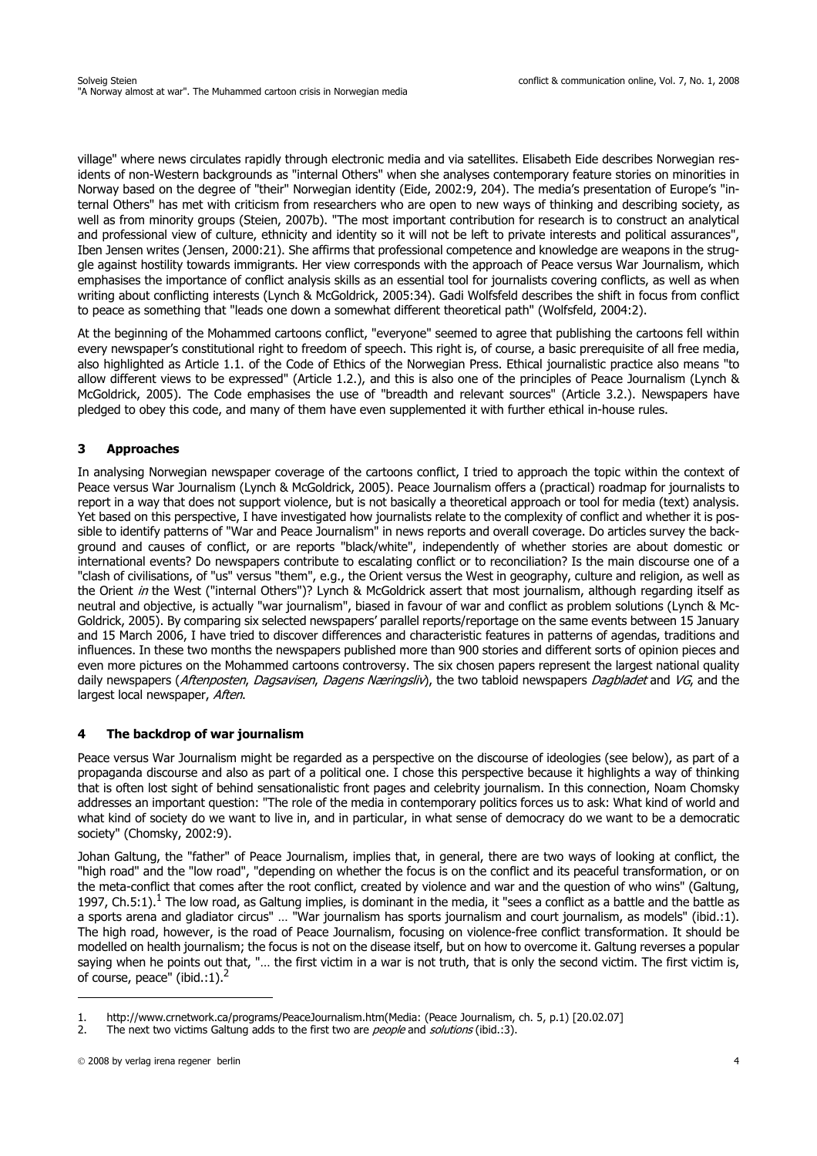village" where news circulates rapidly through electronic media and via satellites. Elisabeth Eide describes Norwegian residents of non-Western backgrounds as "internal Others" when she analyses contemporary feature stories on minorities in Norway based on the degree of "their" Norwegian identity (Eide, 2002:9, 204). The media's presentation of Europe's "internal Others" has met with criticism from researchers who are open to new ways of thinking and describing society, as well as from minority groups (Steien, 2007b). "The most important contribution for research is to construct an analytical and professional view of culture, ethnicity and identity so it will not be left to private interests and political assurances", Iben Jensen writes (Jensen, 2000:21). She affirms that professional competence and knowledge are weapons in the struggle against hostility towards immigrants. Her view corresponds with the approach of Peace versus War Journalism, which emphasises the importance of conflict analysis skills as an essential tool for journalists covering conflicts, as well as when writing about conflicting interests (Lynch & McGoldrick, 2005:34). Gadi Wolfsfeld describes the shift in focus from conflict to peace as something that "leads one down a somewhat different theoretical path" (Wolfsfeld, 2004:2).

At the beginning of the Mohammed cartoons conflict, "everyone" seemed to agree that publishing the cartoons fell within every newspaper's constitutional right to freedom of speech. This right is, of course, a basic prerequisite of all free media, also highlighted as Article 1.1. of the Code of Ethics of the Norwegian Press. Ethical journalistic practice also means "to allow different views to be expressed" (Article 1.2.), and this is also one of the principles of Peace Journalism (Lynch & McGoldrick, 2005). The Code emphasises the use of "breadth and relevant sources" (Article 3.2.). Newspapers have pledged to obey this code, and many of them have even supplemented it with further ethical in-house rules.

# **3 Approaches**

In analysing Norwegian newspaper coverage of the cartoons conflict, I tried to approach the topic within the context of Peace versus War Journalism (Lynch & McGoldrick, 2005). Peace Journalism offers a (practical) roadmap for journalists to report in a way that does not support violence, but is not basically a theoretical approach or tool for media (text) analysis. Yet based on this perspective, I have investigated how journalists relate to the complexity of conflict and whether it is possible to identify patterns of "War and Peace Journalism" in news reports and overall coverage. Do articles survey the background and causes of conflict, or are reports "black/white", independently of whether stories are about domestic or international events? Do newspapers contribute to escalating conflict or to reconciliation? Is the main discourse one of a "clash of civilisations, of "us" versus "them", e.g., the Orient versus the West in geography, culture and religion, as well as the Orient in the West ("internal Others")? Lynch & McGoldrick assert that most journalism, although regarding itself as neutral and objective, is actually "war journalism", biased in favour of war and conflict as problem solutions (Lynch & Mc-Goldrick, 2005). By comparing six selected newspapers' parallel reports/reportage on the same events between 15 January and 15 March 2006, I have tried to discover differences and characteristic features in patterns of agendas, traditions and influences. In these two months the newspapers published more than 900 stories and different sorts of opinion pieces and even more pictures on the Mohammed cartoons controversy. The six chosen papers represent the largest national quality daily newspapers (Aftenposten, Dagsavisen, Dagens Næringsliv), the two tabloid newspapers Dagbladet and VG, and the largest local newspaper, Aften.

## **4 The backdrop of war journalism**

Peace versus War Journalism might be regarded as a perspective on the discourse of ideologies (see below), as part of a propaganda discourse and also as part of a political one. I chose this perspective because it highlights a way of thinking that is often lost sight of behind sensationalistic front pages and celebrity journalism. In this connection, Noam Chomsky addresses an important question: "The role of the media in contemporary politics forces us to ask: What kind of world and what kind of society do we want to live in, and in particular, in what sense of democracy do we want to be a democratic society" (Chomsky, 2002:9).

Johan Galtung, the "father" of Peace Journalism, implies that, in general, there are two ways of looking at conflict, the "high road" and the "low road", "depending on whether the focus is on the conflict and its peaceful transformation, or on the meta-conflict that comes after the root conflict, created by violence and war and the question of who wins" (Galtung, 1997, Ch.5:1).<sup>1</sup> The low road, as Galtung implies, is dominant in the media, it "sees a conflict as a battle and the battle as a sports arena and gladiator circus" … "War journalism has sports journalism and court journalism, as models" (ibid.:1). The high road, however, is the road of Peace Journalism, focusing on violence-free conflict transformation. It should be modelled on health journalism; the focus is not on the disease itself, but on how to overcome it. Galtung reverses a popular saying when he points out that, "… the first victim in a war is not truth, that is only the second victim. The first victim is, of course, peace" (ibid.:1).<sup>2</sup>

<sup>1.</sup> [http://www.crnetwork.ca/programs/PeaceJournalism.htm\(Media:](http://www.crnetwork.ca/programs/PeaceJournalism.htm(Media) (Peace Journalism, ch. 5, p.1) [20.02.07]

<sup>2.</sup> The next two victims Galtung adds to the first two are *people* and *solutions* (ibid.:3).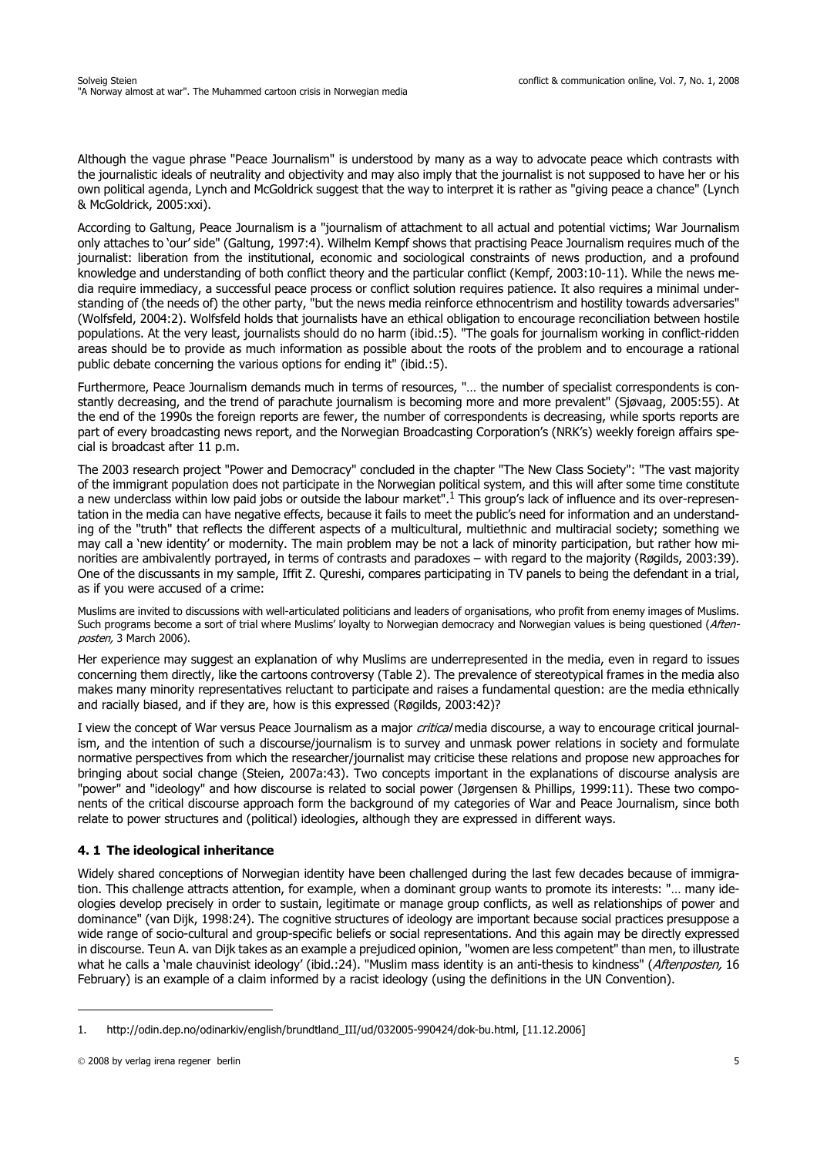Although the vague phrase "Peace Journalism" is understood by many as a way to advocate peace which contrasts with the journalistic ideals of neutrality and objectivity and may also imply that the journalist is not supposed to have her or his own political agenda, Lynch and McGoldrick suggest that the way to interpret it is rather as "giving peace a chance" (Lynch & McGoldrick, 2005:xxi).

According to Galtung, Peace Journalism is a "journalism of attachment to all actual and potential victims; War Journalism only attaches to 'our' side" (Galtung, 1997:4). Wilhelm Kempf shows that practising Peace Journalism requires much of the journalist: liberation from the institutional, economic and sociological constraints of news production, and a profound knowledge and understanding of both conflict theory and the particular conflict (Kempf, 2003:10-11). While the news media require immediacy, a successful peace process or conflict solution requires patience. It also requires a minimal understanding of (the needs of) the other party, "but the news media reinforce ethnocentrism and hostility towards adversaries" (Wolfsfeld, 2004:2). Wolfsfeld holds that journalists have an ethical obligation to encourage reconciliation between hostile populations. At the very least, journalists should do no harm (ibid.:5). "The goals for journalism working in conflict-ridden areas should be to provide as much information as possible about the roots of the problem and to encourage a rational public debate concerning the various options for ending it" (ibid.:5).

Furthermore, Peace Journalism demands much in terms of resources, "… the number of specialist correspondents is constantly decreasing, and the trend of parachute journalism is becoming more and more prevalent" (Sjøvaag, 2005:55). At the end of the 1990s the foreign reports are fewer, the number of correspondents is decreasing, while sports reports are part of every broadcasting news report, and the Norwegian Broadcasting Corporation's (NRK's) weekly foreign affairs special is broadcast after 11 p.m.

The 2003 research project "Power and Democracy" concluded in the chapter "The New Class Society": "The vast majority of the immigrant population does not participate in the Norwegian political system, and this will after some time constitute a new underclass within low paid jobs or outside the labour market".<sup>1</sup> This group's lack of influence and its over-representation in the media can have negative effects, because it fails to meet the public's need for information and an understanding of the "truth" that reflects the different aspects of a multicultural, multiethnic and multiracial society; something we may call a 'new identity' or modernity. The main problem may be not a lack of minority participation, but rather how minorities are ambivalently portrayed, in terms of contrasts and paradoxes – with regard to the majority (Røgilds, 2003:39). One of the discussants in my sample, Iffit Z. Qureshi, compares participating in TV panels to being the defendant in a trial, as if you were accused of a crime:

Muslims are invited to discussions with well-articulated politicians and leaders of organisations, who profit from enemy images of Muslims. Such programs become a sort of trial where Muslims' loyalty to Norwegian democracy and Norwegian values is being questioned (Aftenposten, 3 March 2006).

Her experience may suggest an explanation of why Muslims are underrepresented in the media, even in regard to issues concerning them directly, like the cartoons controversy (Table 2). The prevalence of stereotypical frames in the media also makes many minority representatives reluctant to participate and raises a fundamental question: are the media ethnically and racially biased, and if they are, how is this expressed (Røgilds, 2003:42)?

I view the concept of War versus Peace Journalism as a major critical media discourse, a way to encourage critical journalism, and the intention of such a discourse/journalism is to survey and unmask power relations in society and formulate normative perspectives from which the researcher/journalist may criticise these relations and propose new approaches for bringing about social change (Steien, 2007a:43). Two concepts important in the explanations of discourse analysis are "power" and "ideology" and how discourse is related to social power (Jørgensen & Phillips, 1999:11). These two components of the critical discourse approach form the background of my categories of War and Peace Journalism, since both relate to power structures and (political) ideologies, although they are expressed in different ways.

## **4. 1 The ideological inheritance**

Widely shared conceptions of Norwegian identity have been challenged during the last few decades because of immigration. This challenge attracts attention, for example, when a dominant group wants to promote its interests: "… many ideologies develop precisely in order to sustain, legitimate or manage group conflicts, as well as relationships of power and dominance" (van Dijk, 1998:24). The cognitive structures of ideology are important because social practices presuppose a wide range of socio-cultural and group-specific beliefs or social representations. And this again may be directly expressed in discourse. Teun A. van Dijk takes as an example a prejudiced opinion, "women are less competent" than men, to illustrate what he calls a 'male chauvinist ideology' (ibid.:24). "Muslim mass identity is an anti-thesis to kindness" (Aftenposten, 16 February) is an example of a claim informed by a racist ideology (using the definitions in the UN Convention).

<sup>1.</sup> [http://odin.dep.no/odinarkiv/english/brundtland\\_III/ud/032005-990424/dok-bu.html,](http://odin.dep.no/odinarkiv/english/brundtland_III/ud/032005-990424/dok-bu.html) [11.12.2006]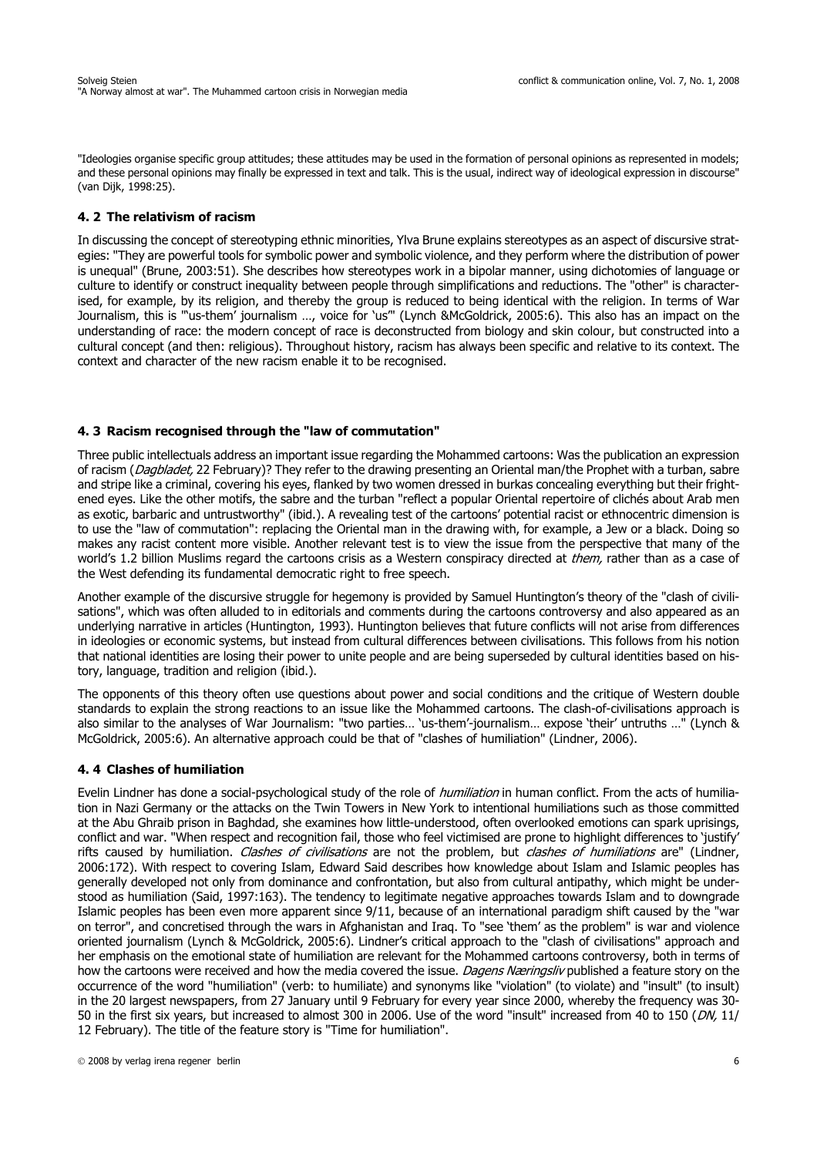"Ideologies organise specific group attitudes; these attitudes may be used in the formation of personal opinions as represented in models; and these personal opinions may finally be expressed in text and talk. This is the usual, indirect way of ideological expression in discourse" (van Dijk, 1998:25).

#### **4. 2 The relativism of racism**

In discussing the concept of stereotyping ethnic minorities, Ylva Brune explains stereotypes as an aspect of discursive strategies: "They are powerful tools for symbolic power and symbolic violence, and they perform where the distribution of power is unequal" (Brune, 2003:51). She describes how stereotypes work in a bipolar manner, using dichotomies of language or culture to identify or construct inequality between people through simplifications and reductions. The "other" is characterised, for example, by its religion, and thereby the group is reduced to being identical with the religion. In terms of War Journalism, this is "'us-them' journalism …, voice for 'us'" (Lynch &McGoldrick, 2005:6). This also has an impact on the understanding of race: the modern concept of race is deconstructed from biology and skin colour, but constructed into a cultural concept (and then: religious). Throughout history, racism has always been specific and relative to its context. The context and character of the new racism enable it to be recognised.

### **4. 3 Racism recognised through the "law of commutation"**

Three public intellectuals address an important issue regarding the Mohammed cartoons: Was the publication an expression of racism (*Dagbladet*, 22 February)? They refer to the drawing presenting an Oriental man/the Prophet with a turban, sabre and stripe like a criminal, covering his eyes, flanked by two women dressed in burkas concealing everything but their frightened eyes. Like the other motifs, the sabre and the turban "reflect a popular Oriental repertoire of clichés about Arab men as exotic, barbaric and untrustworthy" (ibid.). A revealing test of the cartoons' potential racist or ethnocentric dimension is to use the "law of commutation": replacing the Oriental man in the drawing with, for example, a Jew or a black. Doing so makes any racist content more visible. Another relevant test is to view the issue from the perspective that many of the world's 1.2 billion Muslims regard the cartoons crisis as a Western conspiracy directed at *them*, rather than as a case of the West defending its fundamental democratic right to free speech.

Another example of the discursive struggle for hegemony is provided by Samuel Huntington's theory of the "clash of civilisations", which was often alluded to in editorials and comments during the cartoons controversy and also appeared as an underlying narrative in articles (Huntington, 1993). Huntington believes that future conflicts will not arise from differences in ideologies or economic systems, but instead from cultural differences between civilisations. This follows from his notion that national identities are losing their power to unite people and are being superseded by cultural identities based on history, language, tradition and religion (ibid.).

The opponents of this theory often use questions about power and social conditions and the critique of Western double standards to explain the strong reactions to an issue like the Mohammed cartoons. The clash-of-civilisations approach is also similar to the analyses of War Journalism: "two parties… 'us-them'-journalism… expose 'their' untruths …" (Lynch & McGoldrick, 2005:6). An alternative approach could be that of "clashes of humiliation" (Lindner, 2006).

### **4. 4 Clashes of humiliation**

Evelin Lindner has done a social-psychological study of the role of *humiliation* in human conflict. From the acts of humiliation in Nazi Germany or the attacks on the Twin Towers in New York to intentional humiliations such as those committed at the Abu Ghraib prison in Baghdad, she examines how little-understood, often overlooked emotions can spark uprisings, conflict and war. "When respect and recognition fail, those who feel victimised are prone to highlight differences to 'justify' rifts caused by humiliation. Clashes of civilisations are not the problem, but clashes of humiliations are" (Lindner, 2006:172). With respect to covering Islam, Edward Said describes how knowledge about Islam and Islamic peoples has generally developed not only from dominance and confrontation, but also from cultural antipathy, which might be understood as humiliation (Said, 1997:163). The tendency to legitimate negative approaches towards Islam and to downgrade Islamic peoples has been even more apparent since 9/11, because of an international paradigm shift caused by the "war on terror", and concretised through the wars in Afghanistan and Iraq. To "see 'them' as the problem" is war and violence oriented journalism (Lynch & McGoldrick, 2005:6). Lindner's critical approach to the "clash of civilisations" approach and her emphasis on the emotional state of humiliation are relevant for the Mohammed cartoons controversy, both in terms of how the cartoons were received and how the media covered the issue. *Dagens Næringsliv* published a feature story on the occurrence of the word "humiliation" (verb: to humiliate) and synonyms like "violation" (to violate) and "insult" (to insult) in the 20 largest newspapers, from 27 January until 9 February for every year since 2000, whereby the frequency was 30- 50 in the first six years, but increased to almost 300 in 2006. Use of the word "insult" increased from 40 to 150 (DN, 11/ 12 February). The title of the feature story is "Time for humiliation".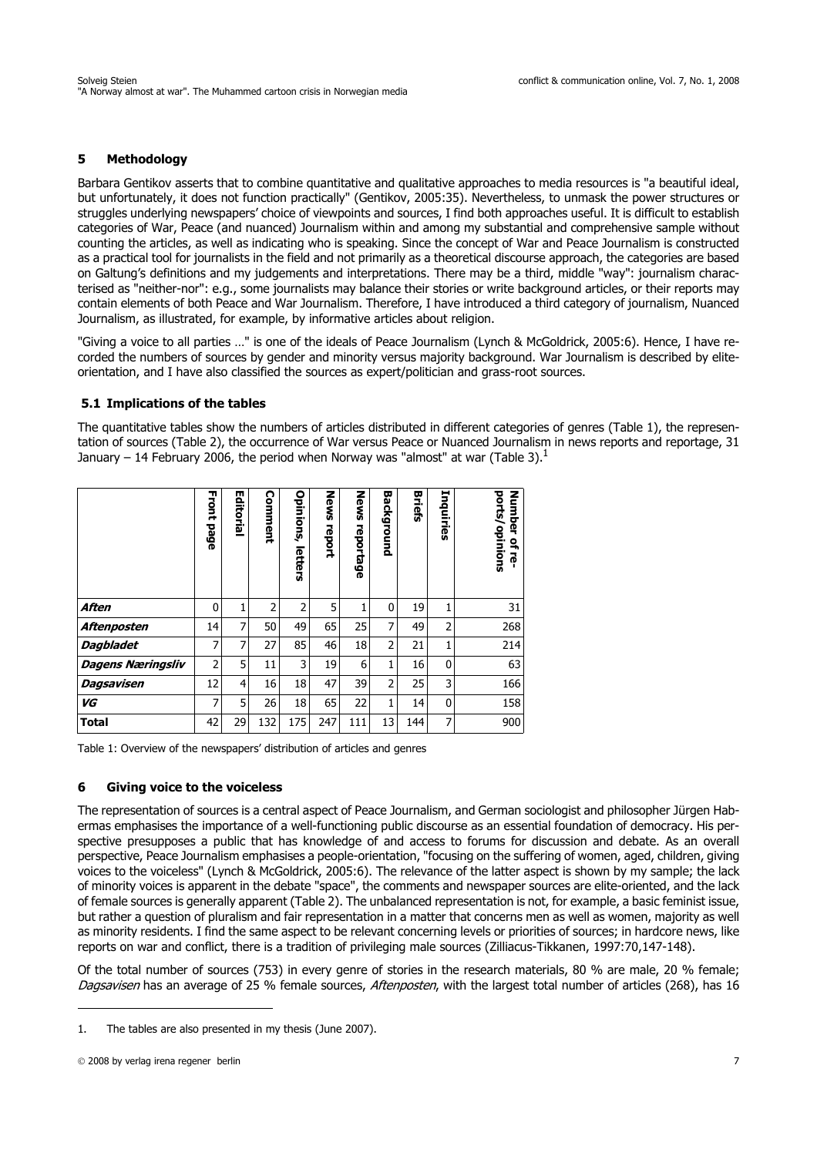### **5 Methodology**

Barbara Gentikov asserts that to combine quantitative and qualitative approaches to media resources is "a beautiful ideal, but unfortunately, it does not function practically" (Gentikov, 2005:35). Nevertheless, to unmask the power structures or struggles underlying newspapers' choice of viewpoints and sources, I find both approaches useful. It is difficult to establish categories of War, Peace (and nuanced) Journalism within and among my substantial and comprehensive sample without counting the articles, as well as indicating who is speaking. Since the concept of War and Peace Journalism is constructed as a practical tool for journalists in the field and not primarily as a theoretical discourse approach, the categories are based on Galtung's definitions and my judgements and interpretations. There may be a third, middle "way": journalism characterised as "neither-nor": e.g., some journalists may balance their stories or write background articles, or their reports may contain elements of both Peace and War Journalism. Therefore, I have introduced a third category of journalism, Nuanced Journalism, as illustrated, for example, by informative articles about religion.

"Giving a voice to all parties …" is one of the ideals of Peace Journalism (Lynch & McGoldrick, 2005:6). Hence, I have recorded the numbers of sources by gender and minority versus majority background. War Journalism is described by eliteorientation, and I have also classified the sources as expert/politician and grass-root sources.

#### **5.1 Implications of the tables**

The quantitative tables show the numbers of articles distributed in different categories of genres (Table 1), the representation of sources (Table 2), the occurrence of War versus Peace or Nuanced Journalism in news reports and reportage, 31 January – 14 February 2006, the period when Norway was "almost" at war (Table 3).<sup>1</sup>

|                                                                                                                                                                                                                                                                                                                                                                                                                                                                                                                                                                                                                                                                                                                                                                                                                                                                                                                                                                                                                                                                                                              | <b>Front page</b> | <b>Editoria</b> | Comment        | Opinions, letters | News report | News reportage | <b>Background</b> | <b>Briefs</b> | Inquiries      | ports/opinions<br>Number of re- |
|--------------------------------------------------------------------------------------------------------------------------------------------------------------------------------------------------------------------------------------------------------------------------------------------------------------------------------------------------------------------------------------------------------------------------------------------------------------------------------------------------------------------------------------------------------------------------------------------------------------------------------------------------------------------------------------------------------------------------------------------------------------------------------------------------------------------------------------------------------------------------------------------------------------------------------------------------------------------------------------------------------------------------------------------------------------------------------------------------------------|-------------------|-----------------|----------------|-------------------|-------------|----------------|-------------------|---------------|----------------|---------------------------------|
| Aften                                                                                                                                                                                                                                                                                                                                                                                                                                                                                                                                                                                                                                                                                                                                                                                                                                                                                                                                                                                                                                                                                                        | 0                 | $\mathbf{1}$    | $\overline{2}$ | $\overline{2}$    | 5           | 1              | 0                 | 19            | $\mathbf{1}$   | 31                              |
| Aftenposten                                                                                                                                                                                                                                                                                                                                                                                                                                                                                                                                                                                                                                                                                                                                                                                                                                                                                                                                                                                                                                                                                                  | 14                | $\overline{7}$  | 50             | 49                | 65          | 25             | $\overline{7}$    | 49            | $\overline{2}$ | 268                             |
| <b>Dagbladet</b>                                                                                                                                                                                                                                                                                                                                                                                                                                                                                                                                                                                                                                                                                                                                                                                                                                                                                                                                                                                                                                                                                             | $\overline{7}$    | $\overline{7}$  | 27             | 85                | 46          | 18             | $\overline{2}$    | 21            | $\mathbf{1}$   | 214                             |
| <b>Dagens Næringsliv</b>                                                                                                                                                                                                                                                                                                                                                                                                                                                                                                                                                                                                                                                                                                                                                                                                                                                                                                                                                                                                                                                                                     | $\overline{2}$    | 5               | 11             | 3                 | 19          | 6              | $\mathbf{1}$      | 16            | 0              | 63                              |
| <b>Dagsavisen</b>                                                                                                                                                                                                                                                                                                                                                                                                                                                                                                                                                                                                                                                                                                                                                                                                                                                                                                                                                                                                                                                                                            | 12                | 4               | 16             | 18                | 47          | 39             | $\overline{2}$    | 25            | 3              | 166                             |
| VG                                                                                                                                                                                                                                                                                                                                                                                                                                                                                                                                                                                                                                                                                                                                                                                                                                                                                                                                                                                                                                                                                                           | $\overline{7}$    | 5               | 26             | 18                | 65          | 22             | $\mathbf{1}$      | 14            | 0              | 158                             |
| <b>Total</b>                                                                                                                                                                                                                                                                                                                                                                                                                                                                                                                                                                                                                                                                                                                                                                                                                                                                                                                                                                                                                                                                                                 | 42                | 29              | 132            | 175               | 247         | 111            | 13                | 144           | $\overline{7}$ | 900                             |
| <b>Giving voice to the voiceless</b><br>6<br>The representation of sources is a central aspect of Peace Journalism, and German<br>ermas emphasises the importance of a well-functioning public discourse as an esse<br>spective presupposes a public that has knowledge of and access to forums for<br>perspective, Peace Journalism emphasises a people-orientation, "focusing on the su<br>voices to the voiceless" (Lynch & McGoldrick, 2005:6). The relevance of the latter<br>of minority voices is apparent in the debate "space", the comments and newspaper<br>of female sources is generally apparent (Table 2). The unbalanced representation is<br>but rather a question of pluralism and fair representation in a matter that concerns<br>as minority residents. I find the same aspect to be relevant concerning levels or pri<br>reports on war and conflict, there is a tradition of privileging male sources (Zilliacu<br>Of the total number of sources (753) in every genre of stories in the research m<br>Dagsavisen has an average of 25 % female sources, Aftenposten, with the larges |                   |                 |                |                   |             |                |                   |               |                |                                 |
| The tables are also presented in my thesis (June 2007).<br>1.                                                                                                                                                                                                                                                                                                                                                                                                                                                                                                                                                                                                                                                                                                                                                                                                                                                                                                                                                                                                                                                |                   |                 |                |                   |             |                |                   |               |                |                                 |

#### **6 Giving voice to the voiceless**

The representation of sources is a central aspect of Peace Journalism, and German sociologist and philosopher Jürgen Habermas emphasises the importance of a well-functioning public discourse as an essential foundation of democracy. His perspective presupposes a public that has knowledge of and access to forums for discussion and debate. As an overall perspective, Peace Journalism emphasises a people-orientation, "focusing on the suffering of women, aged, children, giving voices to the voiceless" (Lynch & McGoldrick, 2005:6). The relevance of the latter aspect is shown by my sample; the lack of minority voices is apparent in the debate "space", the comments and newspaper sources are elite-oriented, and the lack of female sources is generally apparent (Table 2). The unbalanced representation is not, for example, a basic feminist issue, but rather a question of pluralism and fair representation in a matter that concerns men as well as women, majority as well as minority residents. I find the same aspect to be relevant concerning levels or priorities of sources; in hardcore news, like reports on war and conflict, there is a tradition of privileging male sources (Zilliacus-Tikkanen, 1997:70,147-148).

Of the total number of sources (753) in every genre of stories in the research materials, 80 % are male, 20 % female; Dagsavisen has an average of 25 % female sources, Aftenposten, with the largest total number of articles (268), has 16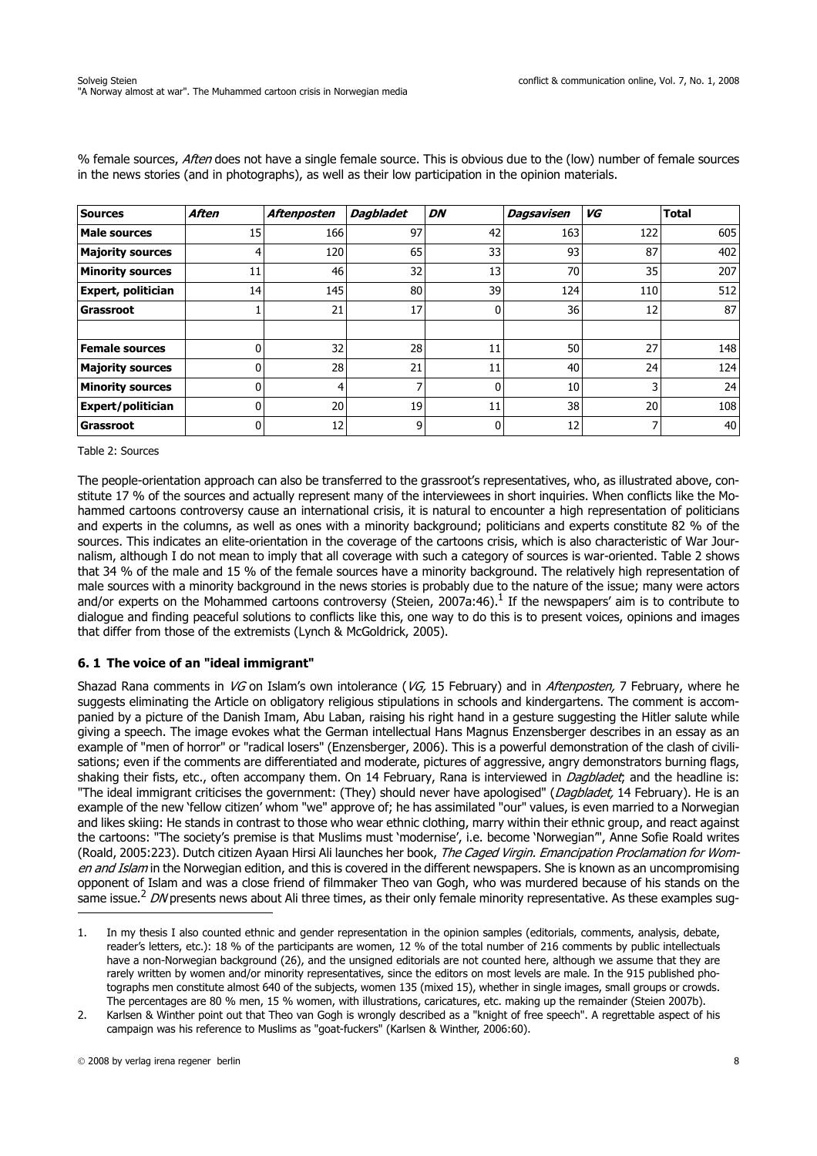| <b>Sources</b>            | <b>Aften</b> | Aftenposten | <b>Dagbladet</b> | DN | <b>Dagsavisen</b> | VG  | <b>Total</b> |
|---------------------------|--------------|-------------|------------------|----|-------------------|-----|--------------|
| <b>Male sources</b>       | 15           | 166         | 97               | 42 | 163               | 122 | 605          |
| <b>Majority sources</b>   |              | 120         | 65               | 33 | 93                | 87  | 402          |
| <b>Minority sources</b>   | 11           | 46          | 32               | 13 | 70                | 35  | 207          |
| <b>Expert, politician</b> | 14           | 145         | 80               | 39 | 124               | 110 | 512          |
| <b>Grassroot</b>          |              | 21          | 17               |    | 36                | 12  | 87           |
|                           |              |             |                  |    |                   |     |              |
| Female sources            | ŋ            | 32          | 28               | 11 | 50                | 27  | 148          |
| <b>Majority sources</b>   | O            | 28          | 21               | 11 | 40                | 24  | 124          |
| <b>Minority sources</b>   | ŋ            | 4           | 7                |    | 10                |     | 24           |
| <b>Expert/politician</b>  | 0            | 20          | 19               | 11 | 38                | 20  | 108          |
| Grassroot                 |              | 12          | 9                | n  | 12                |     | 40           |

% female sources, Aften does not have a single female source. This is obvious due to the (low) number of female sources in the news stories (and in photographs), as well as their low participation in the opinion materials.

Table 2: Sources

The people-orientation approach can also be transferred to the grassroot's representatives, who, as illustrated above, constitute 17 % of the sources and actually represent many of the interviewees in short inquiries. When conflicts like the Mohammed cartoons controversy cause an international crisis, it is natural to encounter a high representation of politicians and experts in the columns, as well as ones with a minority background; politicians and experts constitute 82 % of the sources. This indicates an elite-orientation in the coverage of the cartoons crisis, which is also characteristic of War Journalism, although I do not mean to imply that all coverage with such a category of sources is war-oriented. Table 2 shows that 34 % of the male and 15 % of the female sources have a minority background. The relatively high representation of male sources with a minority background in the news stories is probably due to the nature of the issue; many were actors and/or experts on the Mohammed cartoons controversy (Steien, 2007a:46).<sup>1</sup> If the newspapers' aim is to contribute to dialogue and finding peaceful solutions to conflicts like this, one way to do this is to present voices, opinions and images that differ from those of the extremists (Lynch & McGoldrick, 2005).

### **6. 1 The voice of an "ideal immigrant"**

Shazad Rana comments in VG on Islam's own intolerance (VG, 15 February) and in *Aftenposten*, 7 February, where he suggests eliminating the Article on obligatory religious stipulations in schools and kindergartens. The comment is accompanied by a picture of the Danish Imam, Abu Laban, raising his right hand in a gesture suggesting the Hitler salute while giving a speech. The image evokes what the German intellectual Hans Magnus Enzensberger describes in an essay as an example of "men of horror" or "radical losers" (Enzensberger, 2006). This is a powerful demonstration of the clash of civilisations; even if the comments are differentiated and moderate, pictures of aggressive, angry demonstrators burning flags, shaking their fists, etc., often accompany them. On 14 February, Rana is interviewed in *Dagbladet*; and the headline is: "The ideal immigrant criticises the government: (They) should never have apologised" (Dagbladet, 14 February). He is an example of the new 'fellow citizen' whom "we" approve of; he has assimilated "our" values, is even married to a Norwegian and likes skiing: He stands in contrast to those who wear ethnic clothing, marry within their ethnic group, and react against the cartoons: "The society's premise is that Muslims must 'modernise', i.e. become 'Norwegian'", Anne Sofie Roald writes (Roald, 2005:223). Dutch citizen Ayaan Hirsi Ali launches her book, The Caged Virgin. Emancipation Proclamation for Women and Islam in the Norwegian edition, and this is covered in the different newspapers. She is known as an uncompromising opponent of Islam and was a close friend of filmmaker Theo van Gogh, who was murdered because of his stands on the same issue.<sup>2</sup> DN presents news about Ali three times, as their only female minority representative. As these examples sug-

<sup>1.</sup> In my thesis I also counted ethnic and gender representation in the opinion samples (editorials, comments, analysis, debate, reader's letters, etc.): 18 % of the participants are women, 12 % of the total number of 216 comments by public intellectuals have a non-Norwegian background (26), and the unsigned editorials are not counted here, although we assume that they are rarely written by women and/or minority representatives, since the editors on most levels are male. In the 915 published photographs men constitute almost 640 of the subjects, women 135 (mixed 15), whether in single images, small groups or crowds. The percentages are 80 % men, 15 % women, with illustrations, caricatures, etc. making up the remainder (Steien 2007b).

<sup>2.</sup> Karlsen & Winther point out that Theo van Gogh is wrongly described as a "knight of free speech". A regrettable aspect of his campaign was his reference to Muslims as "goat-fuckers" (Karlsen & Winther, 2006:60).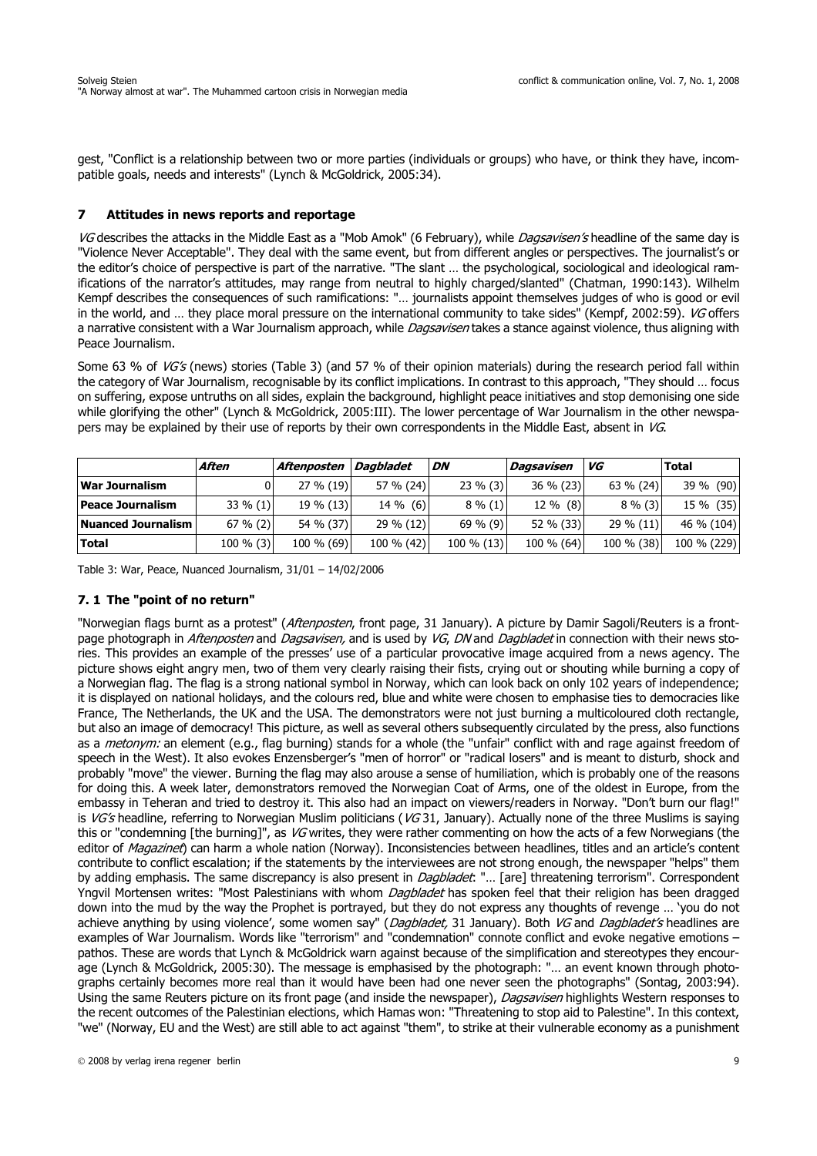gest, "Conflict is a relationship between two or more parties (individuals or groups) who have, or think they have, incompatible goals, needs and interests" (Lynch & McGoldrick, 2005:34).

### **7 Attitudes in news reports and reportage**

VG describes the attacks in the Middle East as a "Mob Amok" (6 February), while Dagsavisen's headline of the same day is "Violence Never Acceptable". They deal with the same event, but from different angles or perspectives. The journalist's or the editor's choice of perspective is part of the narrative. "The slant … the psychological, sociological and ideological ramifications of the narrator's attitudes, may range from neutral to highly charged/slanted" (Chatman, 1990:143). Wilhelm Kempf describes the consequences of such ramifications: "… journalists appoint themselves judges of who is good or evil in the world, and ... they place moral pressure on the international community to take sides" (Kempf, 2002:59). VG offers a narrative consistent with a War Journalism approach, while *Dagsavisen* takes a stance against violence, thus aligning with Peace Journalism.

Some 63 % of VG's (news) stories (Table 3) (and 57 % of their opinion materials) during the research period fall within the category of War Journalism, recognisable by its conflict implications. In contrast to this approach, "They should … focus on suffering, expose untruths on all sides, explain the background, highlight peace initiatives and stop demonising one side while glorifying the other" (Lynch & McGoldrick, 2005:III). The lower percentage of War Journalism in the other newspapers may be explained by their use of reports by their own correspondents in the Middle East, absent in VG.

|                         | Aften        | Aftenposten  | Dagbladet    | DN          | Dagsavisen | VG           | Total       |
|-------------------------|--------------|--------------|--------------|-------------|------------|--------------|-------------|
| <b>War Journalism</b>   |              | $27 \% (19)$ | $57 \% (24)$ | $23\%$ (3)  | 36 % (23)  | $63 \% (24)$ | 39 % (90)   |
| <b>Peace Journalism</b> | $33\% (1)$   | $19 \% (13)$ | $14\%$ (6)   | $8\%(1)$    | $12\%$ (8) | $8\%$ (3)    | 15 % (35)   |
| Nuanced Journalism      | $67 \% (2)$  | 54 % (37)    | $29 \% (12)$ | $69 \% (9)$ | 52 % (33)  | $29\%$ (11)  | 46 % (104)  |
| <b>Total</b>            | $100 \% (3)$ | 100 % (69)   | 100 % (42)   | 100 % (13)  | 100 % (64) | 100 % (38)   | 100 % (229) |

Table 3: War, Peace, Nuanced Journalism, 31/01 – 14/02/2006

### **7. 1 The "point of no return"**

"Norwegian flags burnt as a protest" (Aftenposten, front page, 31 January). A picture by Damir Sagoli/Reuters is a frontpage photograph in Aftenposten and Dagsavisen, and is used by VG, DN and Dagbladet in connection with their news stories. This provides an example of the presses' use of a particular provocative image acquired from a news agency. The picture shows eight angry men, two of them very clearly raising their fists, crying out or shouting while burning a copy of a Norwegian flag. The flag is a strong national symbol in Norway, which can look back on only 102 years of independence; it is displayed on national holidays, and the colours red, blue and white were chosen to emphasise ties to democracies like France, The Netherlands, the UK and the USA. The demonstrators were not just burning a multicoloured cloth rectangle, but also an image of democracy! This picture, as well as several others subsequently circulated by the press, also functions as a *metonym:* an element (e.g., flag burning) stands for a whole (the "unfair" conflict with and rage against freedom of speech in the West). It also evokes Enzensberger's "men of horror" or "radical losers" and is meant to disturb, shock and probably "move" the viewer. Burning the flag may also arouse a sense of humiliation, which is probably one of the reasons for doing this. A week later, demonstrators removed the Norwegian Coat of Arms, one of the oldest in Europe, from the embassy in Teheran and tried to destroy it. This also had an impact on viewers/readers in Norway. "Don't burn our flag!" is  $VG's$  headline, referring to Norwegian Muslim politicians ( $VG31$ , January). Actually none of the three Muslims is saying this or "condemning [the burning]", as VG writes, they were rather commenting on how the acts of a few Norwegians (the editor of Magazinet) can harm a whole nation (Norway). Inconsistencies between headlines, titles and an article's content contribute to conflict escalation; if the statements by the interviewees are not strong enough, the newspaper "helps" them by adding emphasis. The same discrepancy is also present in Dagbladet: "... [are] threatening terrorism". Correspondent Yngvil Mortensen writes: "Most Palestinians with whom *Dagbladet* has spoken feel that their religion has been dragged down into the mud by the way the Prophet is portrayed, but they do not express any thoughts of revenge … 'you do not achieve anything by using violence', some women say" (Dagbladet, 31 January). Both VG and Dagbladet's headlines are examples of War Journalism. Words like "terrorism" and "condemnation" connote conflict and evoke negative emotions – pathos. These are words that Lynch & McGoldrick warn against because of the simplification and stereotypes they encourage (Lynch & McGoldrick, 2005:30). The message is emphasised by the photograph: "… an event known through photographs certainly becomes more real than it would have been had one never seen the photographs" (Sontag, 2003:94). Using the same Reuters picture on its front page (and inside the newspaper), Dagsavisen highlights Western responses to the recent outcomes of the Palestinian elections, which Hamas won: "Threatening to stop aid to Palestine". In this context, "we" (Norway, EU and the West) are still able to act against "them", to strike at their vulnerable economy as a punishment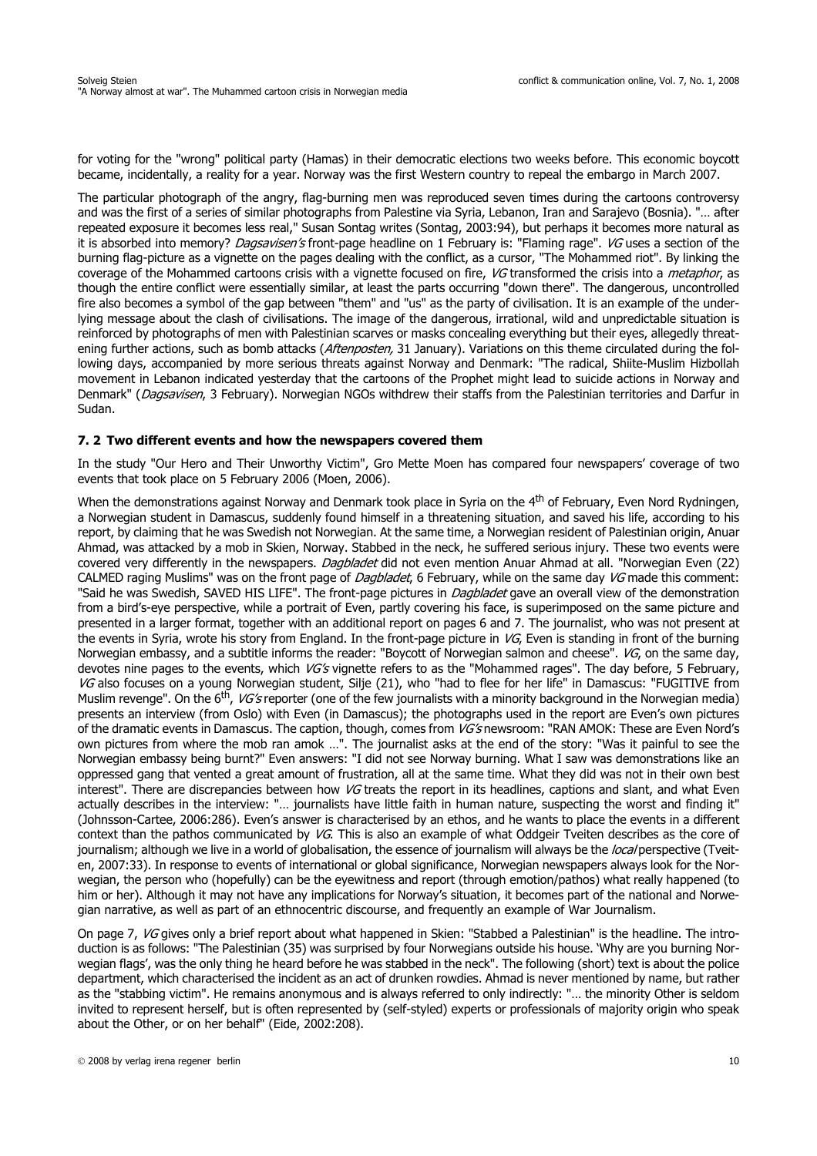for voting for the "wrong" political party (Hamas) in their democratic elections two weeks before. This economic boycott became, incidentally, a reality for a year. Norway was the first Western country to repeal the embargo in March 2007.

The particular photograph of the angry, flag-burning men was reproduced seven times during the cartoons controversy and was the first of a series of similar photographs from Palestine via Syria, Lebanon, Iran and Sarajevo (Bosnia). "… after repeated exposure it becomes less real," Susan Sontag writes (Sontag, 2003:94), but perhaps it becomes more natural as it is absorbed into memory? *Dagsavisen's* front-page headline on 1 February is: "Flaming rage". *VG* uses a section of the burning flag-picture as a vignette on the pages dealing with the conflict, as a cursor, "The Mohammed riot". By linking the coverage of the Mohammed cartoons crisis with a vignette focused on fire, VG transformed the crisis into a *metaphor*, as though the entire conflict were essentially similar, at least the parts occurring "down there". The dangerous, uncontrolled fire also becomes a symbol of the gap between "them" and "us" as the party of civilisation. It is an example of the underlying message about the clash of civilisations. The image of the dangerous, irrational, wild and unpredictable situation is reinforced by photographs of men with Palestinian scarves or masks concealing everything but their eyes, allegedly threatening further actions, such as bomb attacks (Aftenposten, 31 January). Variations on this theme circulated during the following days, accompanied by more serious threats against Norway and Denmark: "The radical, Shiite-Muslim Hizbollah movement in Lebanon indicated yesterday that the cartoons of the Prophet might lead to suicide actions in Norway and Denmark" (Dagsavisen, 3 February). Norwegian NGOs withdrew their staffs from the Palestinian territories and Darfur in Sudan.

#### **7. 2 Two different events and how the newspapers covered them**

In the study "Our Hero and Their Unworthy Victim", Gro Mette Moen has compared four newspapers' coverage of two events that took place on 5 February 2006 (Moen, 2006).

When the demonstrations against Norway and Denmark took place in Syria on the 4<sup>th</sup> of February, Even Nord Rydningen, a Norwegian student in Damascus, suddenly found himself in a threatening situation, and saved his life, according to his report, by claiming that he was Swedish not Norwegian. At the same time, a Norwegian resident of Palestinian origin, Anuar Ahmad, was attacked by a mob in Skien, Norway. Stabbed in the neck, he suffered serious injury. These two events were covered very differently in the newspapers. Dagbladet did not even mention Anuar Ahmad at all. "Norwegian Even (22) CALMED raging Muslims" was on the front page of Dagbladet, 6 February, while on the same day VG made this comment: "Said he was Swedish, SAVED HIS LIFE". The front-page pictures in *Dagbladet* gave an overall view of the demonstration from a bird's-eye perspective, while a portrait of Even, partly covering his face, is superimposed on the same picture and presented in a larger format, together with an additional report on pages 6 and 7. The journalist, who was not present at the events in Syria, wrote his story from England. In the front-page picture in  $VG$ , Even is standing in front of the burning Norwegian embassy, and a subtitle informs the reader: "Boycott of Norwegian salmon and cheese". VG, on the same day, devotes nine pages to the events, which VG's vignette refers to as the "Mohammed rages". The day before, 5 February, VG also focuses on a young Norwegian student, Silje (21), who "had to flee for her life" in Damascus: "FUGITIVE from Muslim revenge". On the 6<sup>th</sup>, *VG's* reporter (one of the few journalists with a minority background in the Norwegian media) presents an interview (from Oslo) with Even (in Damascus); the photographs used in the report are Even's own pictures of the dramatic events in Damascus. The caption, though, comes from VG's newsroom: "RAN AMOK: These are Even Nord's own pictures from where the mob ran amok …". The journalist asks at the end of the story: "Was it painful to see the Norwegian embassy being burnt?" Even answers: "I did not see Norway burning. What I saw was demonstrations like an oppressed gang that vented a great amount of frustration, all at the same time. What they did was not in their own best interest". There are discrepancies between how VG treats the report in its headlines, captions and slant, and what Even actually describes in the interview: "… journalists have little faith in human nature, suspecting the worst and finding it" (Johnsson-Cartee, 2006:286). Even's answer is characterised by an ethos, and he wants to place the events in a different context than the pathos communicated by VG. This is also an example of what Oddgeir Tveiten describes as the core of journalism; although we live in a world of globalisation, the essence of journalism will always be the *local* perspective (Tveiten, 2007:33). In response to events of international or global significance, Norwegian newspapers always look for the Norwegian, the person who (hopefully) can be the eyewitness and report (through emotion/pathos) what really happened (to him or her). Although it may not have any implications for Norway's situation, it becomes part of the national and Norwegian narrative, as well as part of an ethnocentric discourse, and frequently an example of War Journalism.

On page 7, VG gives only a brief report about what happened in Skien: "Stabbed a Palestinian" is the headline. The introduction is as follows: "The Palestinian (35) was surprised by four Norwegians outside his house. 'Why are you burning Norwegian flags', was the only thing he heard before he was stabbed in the neck". The following (short) text is about the police department, which characterised the incident as an act of drunken rowdies. Ahmad is never mentioned by name, but rather as the "stabbing victim". He remains anonymous and is always referred to only indirectly: "… the minority Other is seldom invited to represent herself, but is often represented by (self-styled) experts or professionals of majority origin who speak about the Other, or on her behalf" (Eide, 2002:208).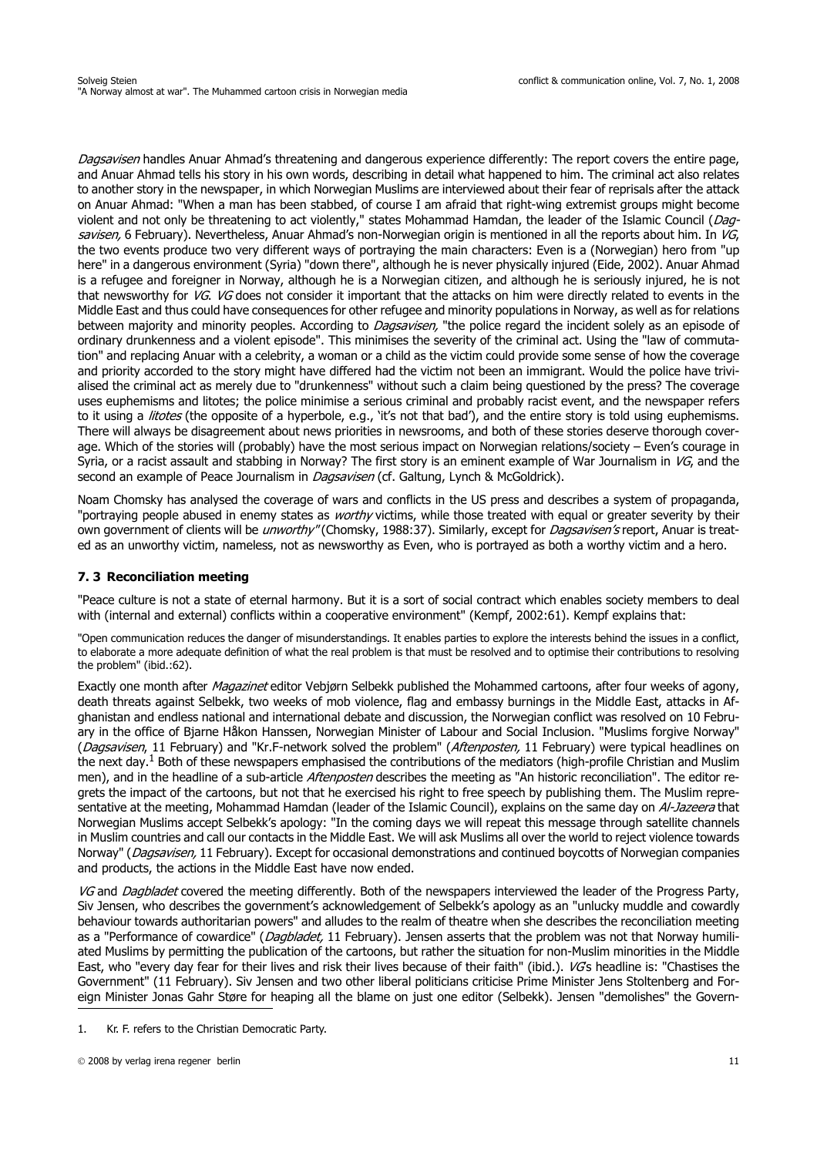Dagsavisen handles Anuar Ahmad's threatening and dangerous experience differently: The report covers the entire page, and Anuar Ahmad tells his story in his own words, describing in detail what happened to him. The criminal act also relates to another story in the newspaper, in which Norwegian Muslims are interviewed about their fear of reprisals after the attack on Anuar Ahmad: "When a man has been stabbed, of course I am afraid that right-wing extremist groups might become violent and not only be threatening to act violently," states Mohammad Hamdan, the leader of the Islamic Council (Dagsavisen, 6 February). Nevertheless, Anuar Ahmad's non-Norwegian origin is mentioned in all the reports about him. In VG, the two events produce two very different ways of portraying the main characters: Even is a (Norwegian) hero from "up here" in a dangerous environment (Syria) "down there", although he is never physically injured (Eide, 2002). Anuar Ahmad is a refugee and foreigner in Norway, although he is a Norwegian citizen, and although he is seriously injured, he is not that newsworthy for VG. VG does not consider it important that the attacks on him were directly related to events in the Middle East and thus could have consequences for other refugee and minority populations in Norway, as well as for relations between majority and minority peoples. According to *Dagsavisen*, "the police regard the incident solely as an episode of ordinary drunkenness and a violent episode". This minimises the severity of the criminal act. Using the "law of commutation" and replacing Anuar with a celebrity, a woman or a child as the victim could provide some sense of how the coverage and priority accorded to the story might have differed had the victim not been an immigrant. Would the police have trivialised the criminal act as merely due to "drunkenness" without such a claim being questioned by the press? The coverage uses euphemisms and litotes; the police minimise a serious criminal and probably racist event, and the newspaper refers to it using a *litotes* (the opposite of a hyperbole, e.g., 'it's not that bad'), and the entire story is told using euphemisms. There will always be disagreement about news priorities in newsrooms, and both of these stories deserve thorough coverage. Which of the stories will (probably) have the most serious impact on Norwegian relations/society – Even's courage in Syria, or a racist assault and stabbing in Norway? The first story is an eminent example of War Journalism in  $VG<sub>r</sub>$  and the second an example of Peace Journalism in *Dagsavisen* (cf. Galtung, Lynch & McGoldrick).

Noam Chomsky has analysed the coverage of wars and conflicts in the US press and describes a system of propaganda, "portraying people abused in enemy states as *worthy* victims, while those treated with equal or greater severity by their own government of clients will be *unworthy"* (Chomsky, 1988:37). Similarly, except for *Dagsavisen's* report, Anuar is treated as an unworthy victim, nameless, not as newsworthy as Even, who is portrayed as both a worthy victim and a hero.

### **7. 3 Reconciliation meeting**

"Peace culture is not a state of eternal harmony. But it is a sort of social contract which enables society members to deal with (internal and external) conflicts within a cooperative environment" (Kempf, 2002:61). Kempf explains that:

"Open communication reduces the danger of misunderstandings. It enables parties to explore the interests behind the issues in a conflict, to elaborate a more adequate definition of what the real problem is that must be resolved and to optimise their contributions to resolving the problem" (ibid.:62).

Exactly one month after *Magazinet* editor Vebjørn Selbekk published the Mohammed cartoons, after four weeks of agony, death threats against Selbekk, two weeks of mob violence, flag and embassy burnings in the Middle East, attacks in Afghanistan and endless national and international debate and discussion, the Norwegian conflict was resolved on 10 February in the office of Bjarne Håkon Hanssen, Norwegian Minister of Labour and Social Inclusion. "Muslims forgive Norway" (Dagsavisen, 11 February) and "Kr.F-network solved the problem" (Aftenposten, 11 February) were typical headlines on the next day.<sup>1</sup> Both of these newspapers emphasised the contributions of the mediators (high-profile Christian and Muslim men), and in the headline of a sub-article Aftenposten describes the meeting as "An historic reconciliation". The editor regrets the impact of the cartoons, but not that he exercised his right to free speech by publishing them. The Muslim representative at the meeting, Mohammad Hamdan (leader of the Islamic Council), explains on the same day on Al-Jazeera that Norwegian Muslims accept Selbekk's apology: "In the coming days we will repeat this message through satellite channels in Muslim countries and call our contacts in the Middle East. We will ask Muslims all over the world to reject violence towards Norway" (Dagsavisen, 11 February). Except for occasional demonstrations and continued boycotts of Norwegian companies and products, the actions in the Middle East have now ended.

VG and Dagbladet covered the meeting differently. Both of the newspapers interviewed the leader of the Progress Party, Siv Jensen, who describes the government's acknowledgement of Selbekk's apology as an "unlucky muddle and cowardly behaviour towards authoritarian powers" and alludes to the realm of theatre when she describes the reconciliation meeting as a "Performance of cowardice" (Dagbladet, 11 February). Jensen asserts that the problem was not that Norway humiliated Muslims by permitting the publication of the cartoons, but rather the situation for non-Muslim minorities in the Middle East, who "every day fear for their lives and risk their lives because of their faith" (ibid.). VGs headline is: "Chastises the Government" (11 February). Siv Jensen and two other liberal politicians criticise Prime Minister Jens Stoltenberg and Foreign Minister Jonas Gahr Støre for heaping all the blame on just one editor (Selbekk). Jensen "demolishes" the Govern-

<sup>1.</sup> Kr. F. refers to the Christian Democratic Party.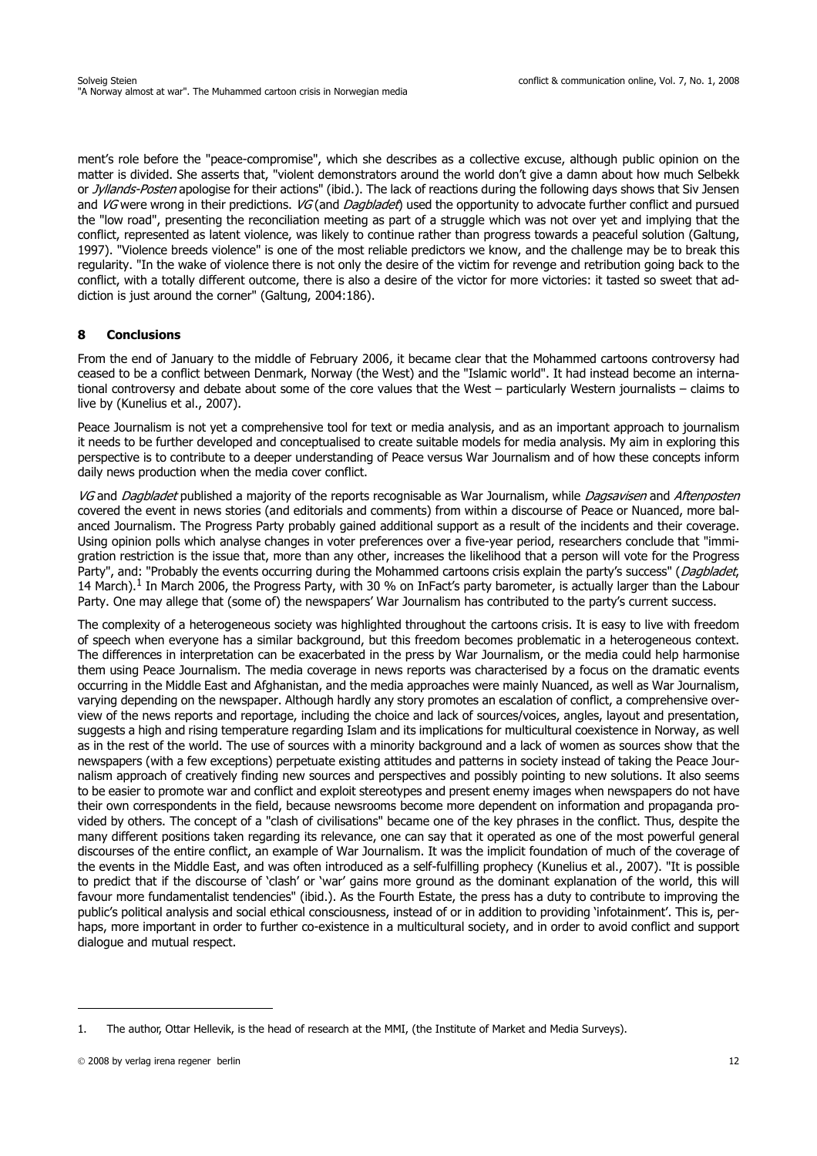ment's role before the "peace-compromise", which she describes as a collective excuse, although public opinion on the matter is divided. She asserts that, "violent demonstrators around the world don't give a damn about how much Selbekk or *Jyllands-Posten* apologise for their actions" (ibid.). The lack of reactions during the following days shows that Siy Jensen and VG were wrong in their predictions. VG (and *Dagbladet*) used the opportunity to advocate further conflict and pursued the "low road", presenting the reconciliation meeting as part of a struggle which was not over yet and implying that the conflict, represented as latent violence, was likely to continue rather than progress towards a peaceful solution (Galtung, 1997). "Violence breeds violence" is one of the most reliable predictors we know, and the challenge may be to break this regularity. "In the wake of violence there is not only the desire of the victim for revenge and retribution going back to the conflict, with a totally different outcome, there is also a desire of the victor for more victories: it tasted so sweet that addiction is just around the corner" (Galtung, 2004:186).

## **8 Conclusions**

From the end of January to the middle of February 2006, it became clear that the Mohammed cartoons controversy had ceased to be a conflict between Denmark, Norway (the West) and the "Islamic world". It had instead become an international controversy and debate about some of the core values that the West – particularly Western journalists – claims to live by (Kunelius et al., 2007).

Peace Journalism is not yet a comprehensive tool for text or media analysis, and as an important approach to journalism it needs to be further developed and conceptualised to create suitable models for media analysis. My aim in exploring this perspective is to contribute to a deeper understanding of Peace versus War Journalism and of how these concepts inform daily news production when the media cover conflict.

VG and Dagbladet published a majority of the reports recognisable as War Journalism, while Dagsavisen and Aftenposten covered the event in news stories (and editorials and comments) from within a discourse of Peace or Nuanced, more balanced Journalism. The Progress Party probably gained additional support as a result of the incidents and their coverage. Using opinion polls which analyse changes in voter preferences over a five-year period, researchers conclude that "immigration restriction is the issue that, more than any other, increases the likelihood that a person will vote for the Progress Party", and: "Probably the events occurring during the Mohammed cartoons crisis explain the party's success" (*Dagbladet*, 14 March).<sup>1</sup> In March 2006, the Progress Party, with 30 % on InFact's party barometer, is actually larger than the Labour Party. One may allege that (some of) the newspapers' War Journalism has contributed to the party's current success.

The complexity of a heterogeneous society was highlighted throughout the cartoons crisis. It is easy to live with freedom of speech when everyone has a similar background, but this freedom becomes problematic in a heterogeneous context. The differences in interpretation can be exacerbated in the press by War Journalism, or the media could help harmonise them using Peace Journalism. The media coverage in news reports was characterised by a focus on the dramatic events occurring in the Middle East and Afghanistan, and the media approaches were mainly Nuanced, as well as War Journalism, varying depending on the newspaper. Although hardly any story promotes an escalation of conflict, a comprehensive overview of the news reports and reportage, including the choice and lack of sources/voices, angles, layout and presentation, suggests a high and rising temperature regarding Islam and its implications for multicultural coexistence in Norway, as well as in the rest of the world. The use of sources with a minority background and a lack of women as sources show that the newspapers (with a few exceptions) perpetuate existing attitudes and patterns in society instead of taking the Peace Journalism approach of creatively finding new sources and perspectives and possibly pointing to new solutions. It also seems to be easier to promote war and conflict and exploit stereotypes and present enemy images when newspapers do not have their own correspondents in the field, because newsrooms become more dependent on information and propaganda provided by others. The concept of a "clash of civilisations" became one of the key phrases in the conflict. Thus, despite the many different positions taken regarding its relevance, one can say that it operated as one of the most powerful general discourses of the entire conflict, an example of War Journalism. It was the implicit foundation of much of the coverage of the events in the Middle East, and was often introduced as a self-fulfilling prophecy (Kunelius et al., 2007). "It is possible to predict that if the discourse of 'clash' or 'war' gains more ground as the dominant explanation of the world, this will favour more fundamentalist tendencies" (ibid.). As the Fourth Estate, the press has a duty to contribute to improving the public's political analysis and social ethical consciousness, instead of or in addition to providing 'infotainment'. This is, perhaps, more important in order to further co-existence in a multicultural society, and in order to avoid conflict and support dialogue and mutual respect.

<sup>1.</sup> The author, Ottar Hellevik, is the head of research at the MMI, (the Institute of Market and Media Surveys).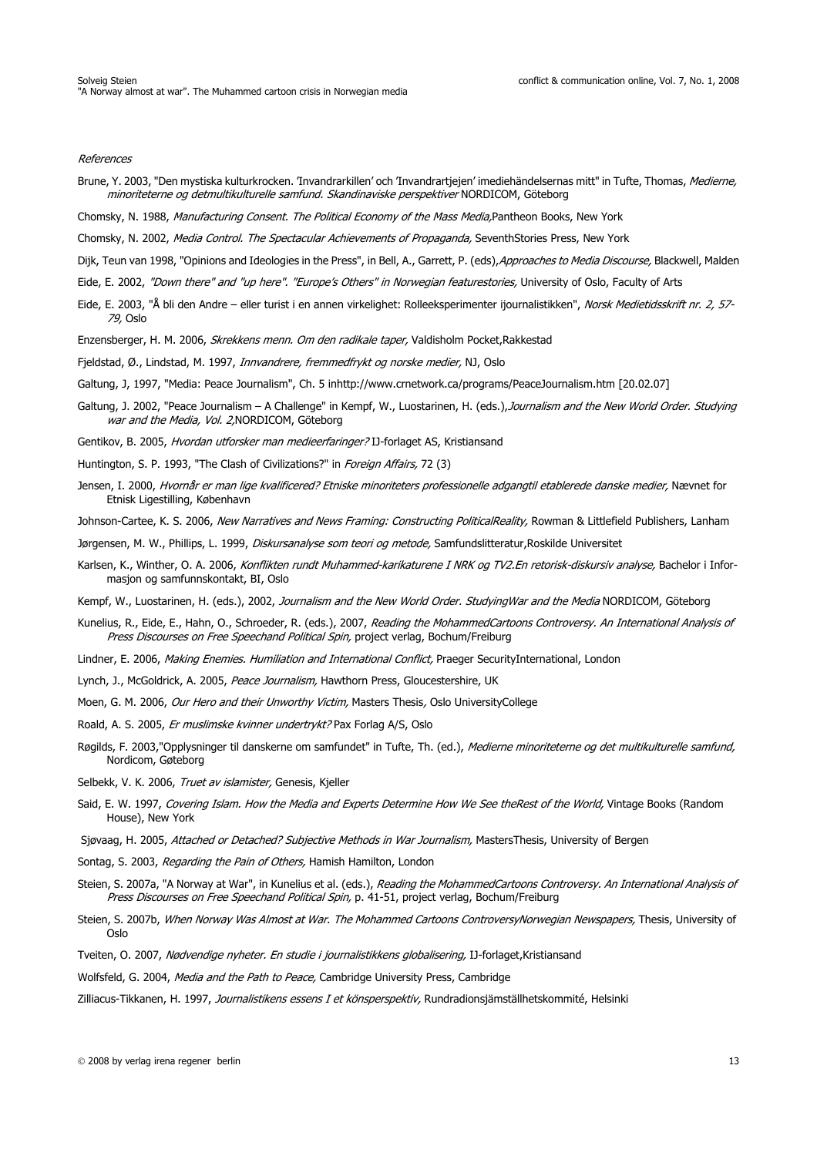#### References

- Brune, Y. 2003, "Den mystiska kulturkrocken. 'Invandrarkillen' och 'Invandrartjejen' imediehändelsernas mitt" in Tufte, Thomas, Medierne, minoriteterne og detmultikulturelle samfund. Skandinaviske perspektiver NORDICOM, Göteborg
- Chomsky, N. 1988, Manufacturing Consent. The Political Economy of the Mass Media,Pantheon Books, New York
- Chomsky, N. 2002, Media Control. The Spectacular Achievements of Propaganda, SeventhStories Press, New York
- Dijk, Teun van 1998, "Opinions and Ideologies in the Press", in Bell, A., Garrett, P. (eds), Approaches to Media Discourse, Blackwell, Malden
- Eide, E. 2002, "Down there" and "up here". "Europe's Others" in Norwegian featurestories, University of Oslo, Faculty of Arts
- Eide, E. 2003, "Å bli den Andre eller turist i en annen virkelighet: Rolleeksperimenter ijournalistikken", Norsk Medietidsskrift nr. 2, 57-79, Oslo
- Enzensberger, H. M. 2006, Skrekkens menn. Om den radikale taper, Valdisholm Pocket, Rakkestad
- Fjeldstad, Ø., Lindstad, M. 1997, *Innvandrere, fremmedfrykt og norske medier*, NJ, Oslo
- Galtung, J, 1997, "Media: Peace Journalism", Ch. 5 inhttp://www.crnetwork.ca/programs/PeaceJournalism.htm [20.02.07]
- Galtung, J. 2002, "Peace Journalism A Challenge" in Kempf, W., Luostarinen, H. (eds.), Journalism and the New World Order. Studying war and the Media, Vol. 2, NORDICOM, Göteborg
- Gentikov, B. 2005, Hvordan utforsker man medieerfaringer? IJ-forlaget AS, Kristiansand
- Huntington, S. P. 1993, "The Clash of Civilizations?" in *Foreign Affairs, 72 (3)*
- Jensen, I. 2000, Hvornår er man lige kvalificered? Etniske minoriteters professionelle adgangtil etablerede danske medier, Nævnet for Etnisk Ligestilling, København
- Johnson-Cartee, K. S. 2006, New Narratives and News Framing: Constructing PoliticalReality, Rowman & Littlefield Publishers, Lanham
- Jørgensen, M. W., Phillips, L. 1999, Diskursanalyse som teori og metode, Samfundslitteratur,Roskilde Universitet
- Karlsen, K., Winther, O. A. 2006, Konflikten rundt Muhammed-karikaturene I NRK og TV2.En retorisk-diskursiv analyse, Bachelor i Informasjon og samfunnskontakt, BI, Oslo
- Kempf, W., Luostarinen, H. (eds.), 2002, Journalism and the New World Order. StudyingWar and the Media NORDICOM, Göteborg
- Kunelius, R., Eide, E., Hahn, O., Schroeder, R. (eds.), 2007, Reading the MohammedCartoons Controversy. An International Analysis of Press Discourses on Free Speechand Political Spin, project verlag, Bochum/Freiburg
- Lindner, E. 2006, Making Enemies. Humiliation and International Conflict, Praeger SecurityInternational, London
- Lynch, J., McGoldrick, A. 2005, Peace Journalism, Hawthorn Press, Gloucestershire, UK
- Moen, G. M. 2006, Our Hero and their Unworthy Victim, Masters Thesis, Oslo UniversityCollege
- Roald, A. S. 2005, Er muslimske kvinner undertrykt? Pax Forlag A/S, Oslo
- Røgilds, F. 2003,"Opplysninger til danskerne om samfundet" in Tufte, Th. (ed.), Medierne minoriteterne og det multikulturelle samfund, Nordicom, Gøteborg
- Selbekk, V. K. 2006, Truet av islamister, Genesis, Kjeller
- Said, E. W. 1997, Covering Islam. How the Media and Experts Determine How We See theRest of the World, Vintage Books (Random House), New York
- Sjøvaag, H. 2005, Attached or Detached? Subjective Methods in War Journalism, MastersThesis, University of Bergen
- Sontag, S. 2003, Regarding the Pain of Others, Hamish Hamilton, London
- Steien, S. 2007a, "A Norway at War", in Kunelius et al. (eds.), Reading the MohammedCartoons Controversy. An International Analysis of Press Discourses on Free Speechand Political Spin, p. 41-51, project verlag, Bochum/Freiburg
- Steien, S. 2007b, When Norway Was Almost at War. The Mohammed Cartoons ControversyNorwegian Newspapers, Thesis, University of Oslo
- Tveiten, O. 2007, Nødvendige nyheter. En studie i journalistikkens globalisering, IJ-forlaget,Kristiansand
- Wolfsfeld, G. 2004, Media and the Path to Peace, Cambridge University Press, Cambridge

Zilliacus-Tikkanen, H. 1997, Journalistikens essens I et könsperspektiv, Rundradionsjämställhetskommité, Helsinki